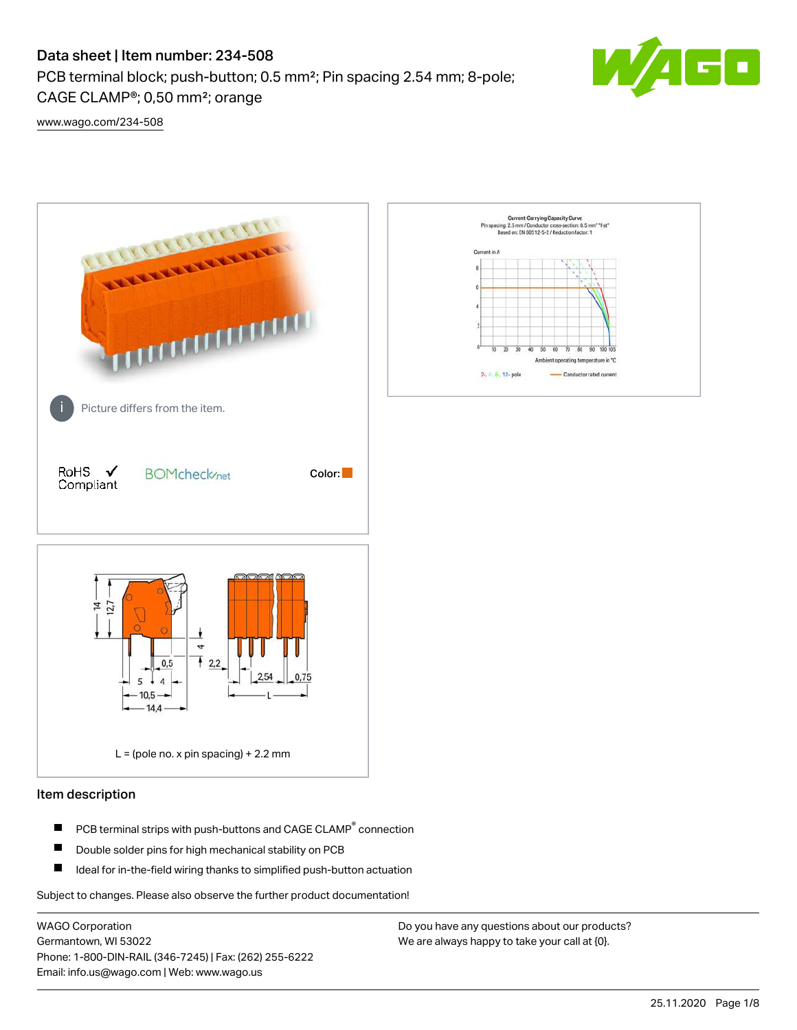# Data sheet | Item number: 234-508

PCB terminal block; push-button; 0.5 mm²; Pin spacing 2.54 mm; 8-pole; CAGE CLAMP®; 0,50 mm²; orange



[www.wago.com/234-508](http://www.wago.com/234-508)



# Item description

- PCB terminal strips with push-buttons and CAGE CLAMP<sup>®</sup> connection П
- П Double solder pins for high mechanical stability on PCB
- П Ideal for in-the-field wiring thanks to simplified push-button actuation

Subject to changes. Please also observe the further product documentation!

WAGO Corporation Germantown, WI 53022 Phone: 1-800-DIN-RAIL (346-7245) | Fax: (262) 255-6222 Email: info.us@wago.com | Web: www.wago.us

Do you have any questions about our products? We are always happy to take your call at {0}.

 $\overline{60}$ 

Conductor rated current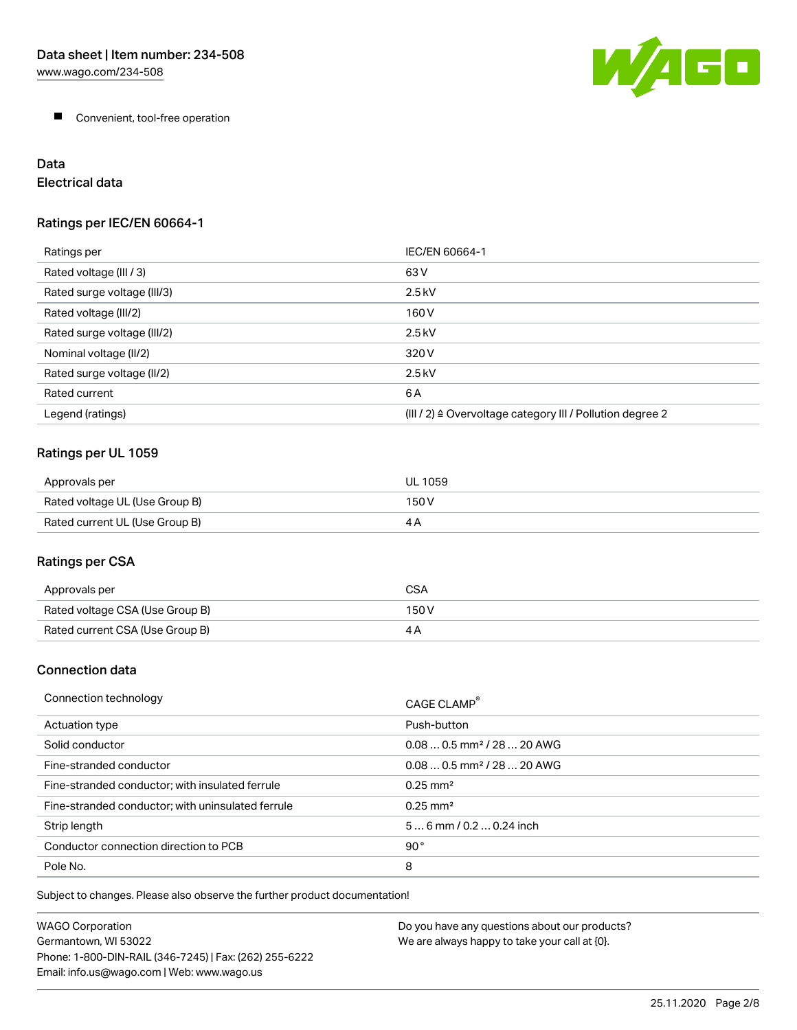

**Convenient, tool-free operation** 

# Data

Electrical data

# Ratings per IEC/EN 60664-1

| Ratings per                 | IEC/EN 60664-1                                                        |
|-----------------------------|-----------------------------------------------------------------------|
| Rated voltage (III / 3)     | 63 V                                                                  |
| Rated surge voltage (III/3) | $2.5$ kV                                                              |
| Rated voltage (III/2)       | 160 V                                                                 |
| Rated surge voltage (III/2) | $2.5$ kV                                                              |
| Nominal voltage (II/2)      | 320 V                                                                 |
| Rated surge voltage (II/2)  | $2.5$ kV                                                              |
| Rated current               | 6A                                                                    |
| Legend (ratings)            | $(III / 2)$ $\triangle$ Overvoltage category III / Pollution degree 2 |

# Ratings per UL 1059

| Approvals per                  | UL 1059 |
|--------------------------------|---------|
| Rated voltage UL (Use Group B) | 150 V   |
| Rated current UL (Use Group B) |         |

# Ratings per CSA

| Approvals per                   | CSA   |
|---------------------------------|-------|
| Rated voltage CSA (Use Group B) | 150 V |
| Rated current CSA (Use Group B) |       |

# Connection data

| Connection technology                             | CAGE CLAMP                             |
|---------------------------------------------------|----------------------------------------|
| Actuation type                                    | Push-button                            |
| Solid conductor                                   | $0.080.5$ mm <sup>2</sup> / 28  20 AWG |
| Fine-stranded conductor                           | $0.080.5$ mm <sup>2</sup> / 28  20 AWG |
| Fine-stranded conductor; with insulated ferrule   | $0.25 \text{ mm}^2$                    |
| Fine-stranded conductor; with uninsulated ferrule | $0.25 \text{ mm}^2$                    |
| Strip length                                      | $56$ mm $/ 0.20.24$ inch               |
| Conductor connection direction to PCB             | 90°                                    |
| Pole No.                                          | 8                                      |

Subject to changes. Please also observe the further product documentation!

| WAGO Corporation                                       | Do you have any questions about our products? |
|--------------------------------------------------------|-----------------------------------------------|
| Germantown. WI 53022                                   | We are always happy to take your call at {0}. |
| Phone: 1-800-DIN-RAIL (346-7245)   Fax: (262) 255-6222 |                                               |
| Email: info.us@wago.com   Web: www.wago.us             |                                               |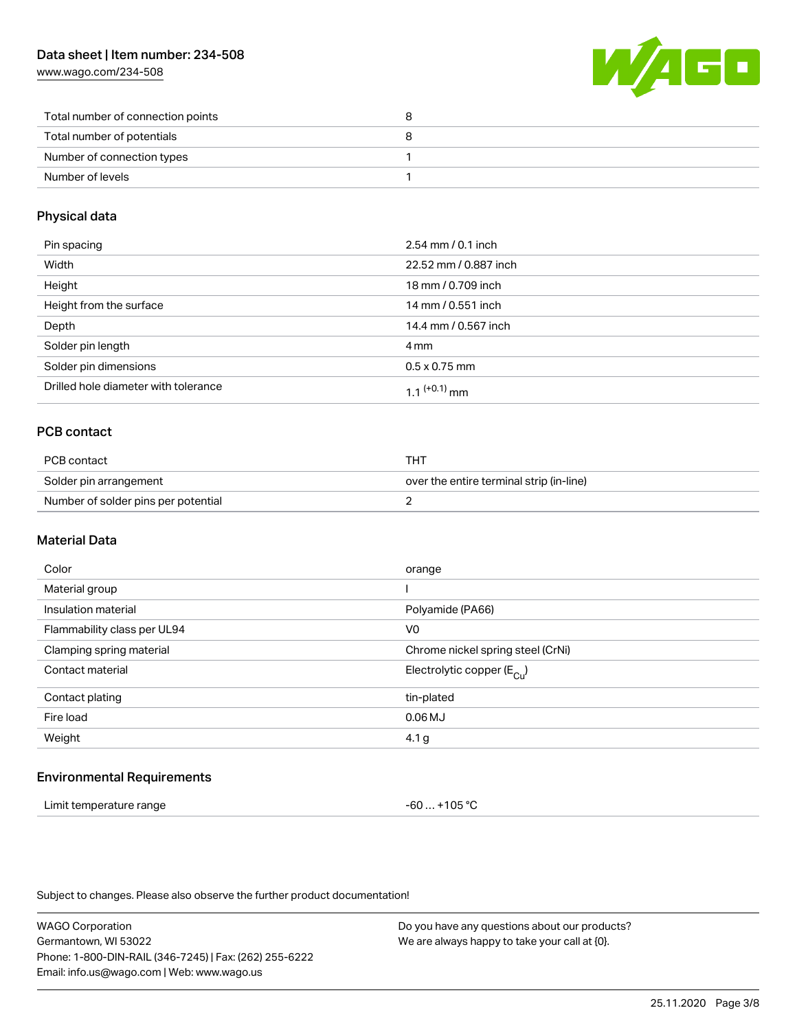# Data sheet | Item number: 234-508

[www.wago.com/234-508](http://www.wago.com/234-508)



| Total number of connection points |  |
|-----------------------------------|--|
| Total number of potentials        |  |
| Number of connection types        |  |
| Number of levels                  |  |

# Physical data

| Pin spacing                          | $2.54 \, \text{mm}$ / 0.1 inch |
|--------------------------------------|--------------------------------|
| Width                                | 22.52 mm / 0.887 inch          |
| Height                               | 18 mm / 0.709 inch             |
| Height from the surface              | 14 mm / 0.551 inch             |
| Depth                                | 14.4 mm / 0.567 inch           |
| Solder pin length                    | 4 mm                           |
| Solder pin dimensions                | $0.5 \times 0.75$ mm           |
| Drilled hole diameter with tolerance | $11^{(+0.1)}$ mm               |

# PCB contact

| PCB contact                         | THT                                      |
|-------------------------------------|------------------------------------------|
| Solder pin arrangement              | over the entire terminal strip (in-line) |
| Number of solder pins per potential |                                          |

# Material Data

| Color                       | orange                                |
|-----------------------------|---------------------------------------|
| Material group              |                                       |
| Insulation material         | Polyamide (PA66)                      |
| Flammability class per UL94 | V <sub>0</sub>                        |
| Clamping spring material    | Chrome nickel spring steel (CrNi)     |
| Contact material            | Electrolytic copper $(E_{\text{Cl}})$ |
| Contact plating             | tin-plated                            |
| Fire load                   | $0.06$ MJ                             |
| Weight                      | 4.1 <sub>g</sub>                      |
|                             |                                       |

#### Environmental Requirements

| Limit temperature range | -60  +105 °C |
|-------------------------|--------------|
|-------------------------|--------------|

Subject to changes. Please also observe the further product documentation!

WAGO Corporation Germantown, WI 53022 Phone: 1-800-DIN-RAIL (346-7245) | Fax: (262) 255-6222 Email: info.us@wago.com | Web: www.wago.us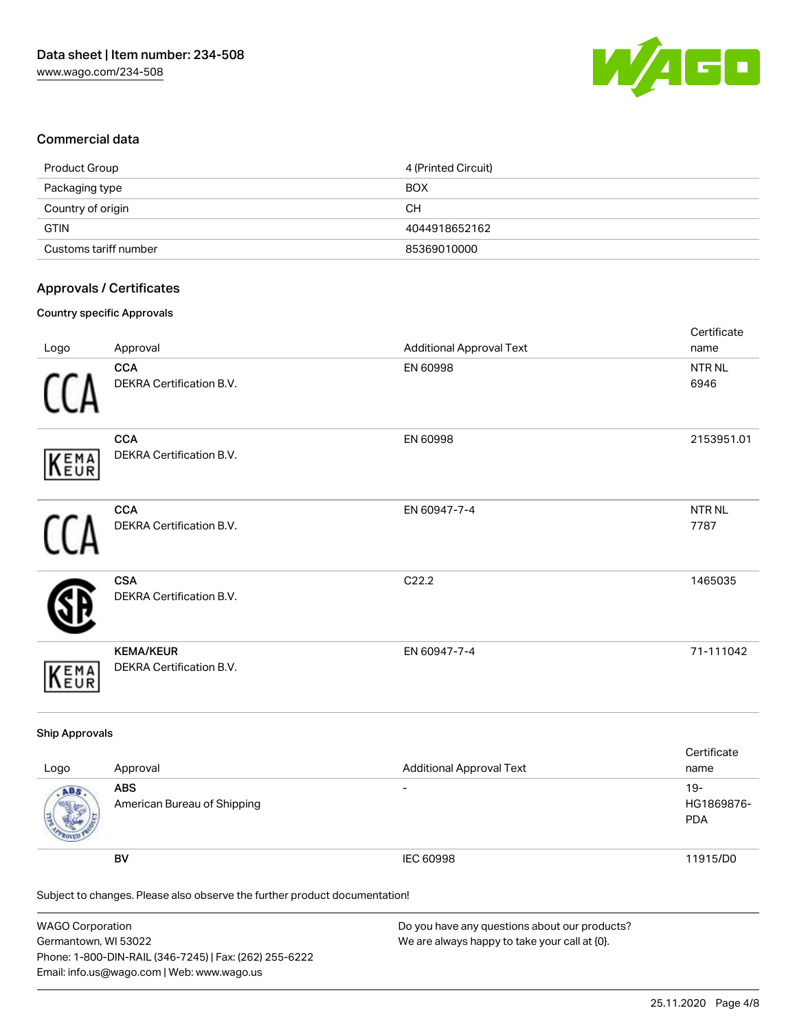

# Commercial data

| Product Group         | 4 (Printed Circuit) |
|-----------------------|---------------------|
| Packaging type        | <b>BOX</b>          |
| Country of origin     | CН                  |
| <b>GTIN</b>           | 4044918652162       |
| Customs tariff number | 85369010000         |

# Approvals / Certificates

#### Country specific Approvals

| Logo       | Approval                                      | <b>Additional Approval Text</b> | Certificate<br>name       |
|------------|-----------------------------------------------|---------------------------------|---------------------------|
|            | <b>CCA</b><br>DEKRA Certification B.V.        | EN 60998                        | NTR NL<br>6946            |
| KEMA       | <b>CCA</b><br>DEKRA Certification B.V.        | EN 60998                        | 2153951.01                |
|            | <b>CCA</b><br><b>DEKRA Certification B.V.</b> | EN 60947-7-4                    | NTR <sub>NL</sub><br>7787 |
|            | <b>CSA</b><br>DEKRA Certification B.V.        | C22.2                           | 1465035                   |
| EMA<br>EUR | <b>KEMA/KEUR</b><br>DEKRA Certification B.V.  | EN 60947-7-4                    | 71-111042                 |

# Ship Approvals

| Logo | Approval                                  | <b>Additional Approval Text</b> | Certificate<br>name             |
|------|-------------------------------------------|---------------------------------|---------------------------------|
| ABS  | <b>ABS</b><br>American Bureau of Shipping | $\overline{\phantom{0}}$        | 19-<br>HG1869876-<br><b>PDA</b> |
|      | BV                                        | IEC 60998                       | 11915/D0                        |

Subject to changes. Please also observe the further product documentation!

| WAGO Corporation                                       | Do you have any questions about our products? |
|--------------------------------------------------------|-----------------------------------------------|
| Germantown, WI 53022                                   | We are always happy to take your call at {0}. |
| Phone: 1-800-DIN-RAIL (346-7245)   Fax: (262) 255-6222 |                                               |
| Email: info.us@wago.com   Web: www.wago.us             |                                               |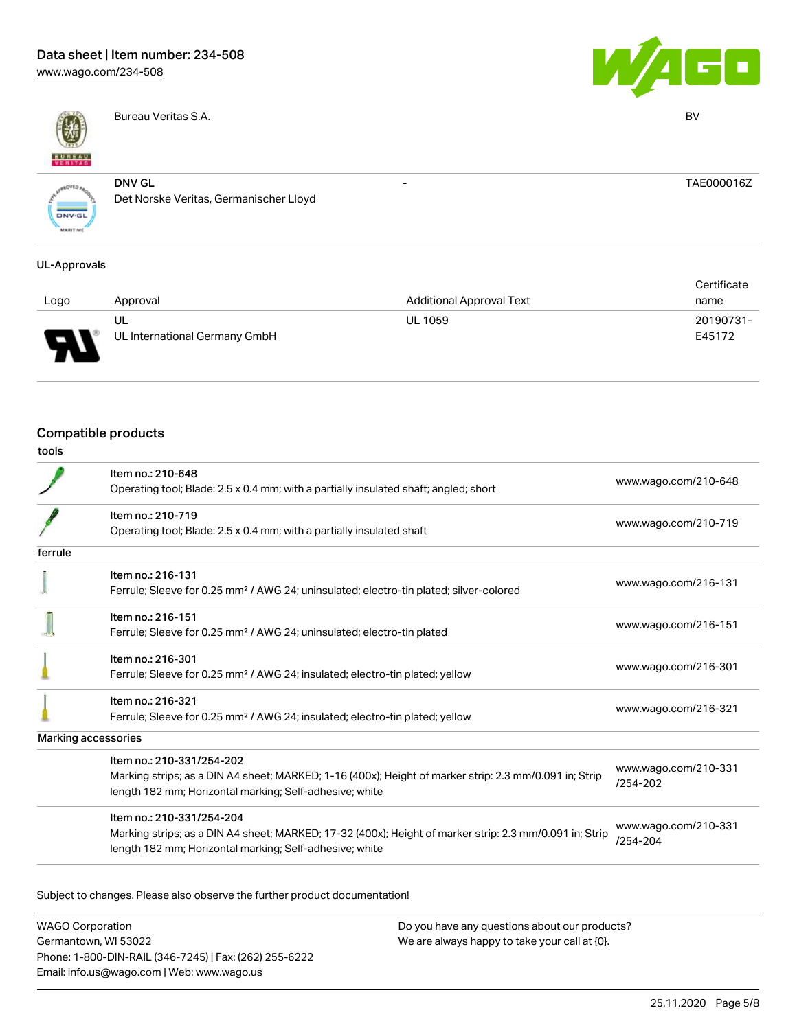# Data sheet | Item number: 234-508

[www.wago.com/234-508](http://www.wago.com/234-508)



Bureau Veritas S.A. BV



- TAE000016Z

**ONV.GL** 

DNV GL Det Norske Veritas, Germanischer Lloyd

### UL-Approvals

|      |                               |                                 | Certificate |  |
|------|-------------------------------|---------------------------------|-------------|--|
| Logo | Approval                      | <b>Additional Approval Text</b> | name        |  |
|      | UL                            | <b>UL 1059</b>                  | 20190731-   |  |
| J    | UL International Germany GmbH |                                 | E45172      |  |

# Compatible products

| I<br>۰.<br>. .<br>v<br>.,<br>v<br>.,<br>۰. |
|--------------------------------------------|
|--------------------------------------------|

|                     | Item no.: 210-648<br>Operating tool; Blade: 2.5 x 0.4 mm; with a partially insulated shaft; angled; short                                                                                       | www.wago.com/210-648             |
|---------------------|-------------------------------------------------------------------------------------------------------------------------------------------------------------------------------------------------|----------------------------------|
|                     | Item no.: 210-719<br>Operating tool; Blade: 2.5 x 0.4 mm; with a partially insulated shaft                                                                                                      | www.wago.com/210-719             |
| ferrule             |                                                                                                                                                                                                 |                                  |
|                     | Item no.: 216-131<br>Ferrule; Sleeve for 0.25 mm <sup>2</sup> / AWG 24; uninsulated; electro-tin plated; silver-colored                                                                         | www.wago.com/216-131             |
|                     | Item no.: 216-151<br>Ferrule; Sleeve for 0.25 mm <sup>2</sup> / AWG 24; uninsulated; electro-tin plated                                                                                         | www.wago.com/216-151             |
|                     | Item no.: 216-301<br>Ferrule; Sleeve for 0.25 mm <sup>2</sup> / AWG 24; insulated; electro-tin plated; yellow                                                                                   | www.wago.com/216-301             |
|                     | Item no.: 216-321<br>Ferrule; Sleeve for 0.25 mm <sup>2</sup> / AWG 24; insulated; electro-tin plated; yellow                                                                                   | www.wago.com/216-321             |
| Marking accessories |                                                                                                                                                                                                 |                                  |
|                     | Item no.: 210-331/254-202<br>Marking strips; as a DIN A4 sheet; MARKED; 1-16 (400x); Height of marker strip: 2.3 mm/0.091 in; Strip<br>length 182 mm; Horizontal marking; Self-adhesive; white  | www.wago.com/210-331<br>/254-202 |
|                     | Item no.: 210-331/254-204<br>Marking strips; as a DIN A4 sheet; MARKED; 17-32 (400x); Height of marker strip: 2.3 mm/0.091 in; Strip<br>length 182 mm; Horizontal marking; Self-adhesive; white | www.wago.com/210-331<br>/254-204 |

Subject to changes. Please also observe the further product documentation!

WAGO Corporation Germantown, WI 53022 Phone: 1-800-DIN-RAIL (346-7245) | Fax: (262) 255-6222 Email: info.us@wago.com | Web: www.wago.us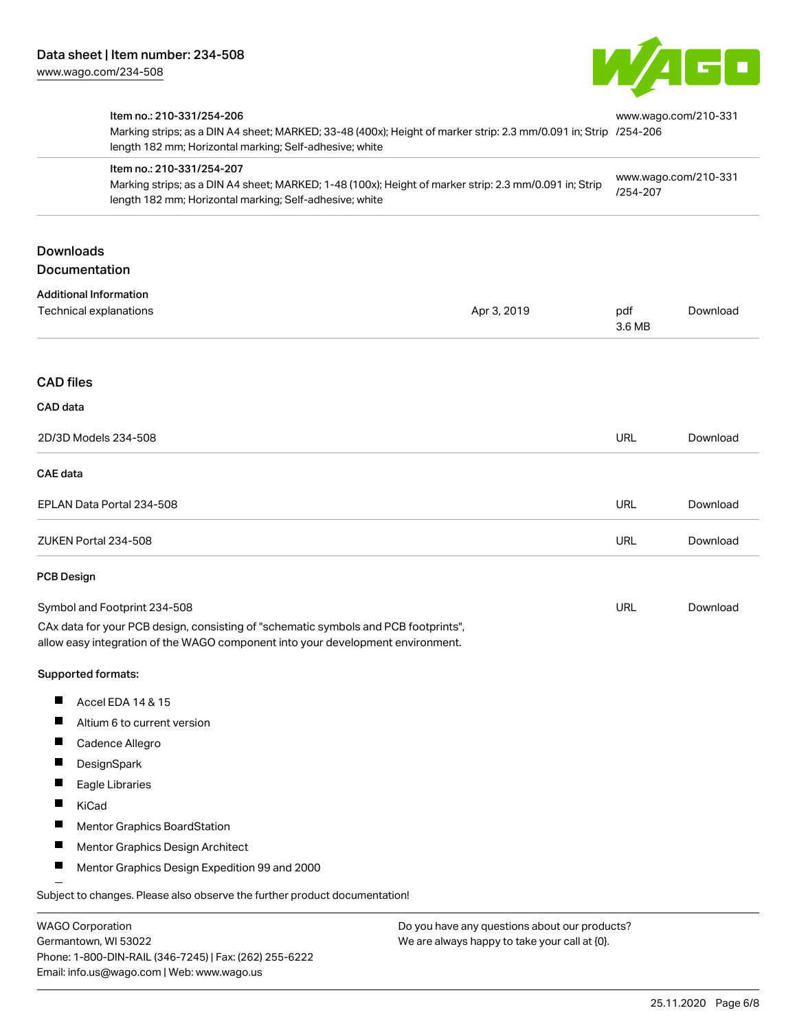

|                   | Item no.: 210-331/254-206<br>Marking strips; as a DIN A4 sheet; MARKED; 33-48 (400x); Height of marker strip: 2.3 mm/0.091 in; Strip /254-206<br>length 182 mm; Horizontal marking; Self-adhesive; white<br>Item no.: 210-331/254-207<br>Marking strips; as a DIN A4 sheet; MARKED; 1-48 (100x); Height of marker strip: 2.3 mm/0.091 in; Strip<br>length 182 mm; Horizontal marking; Self-adhesive; white |                                               | www.wago.com/210-331<br>www.wago.com/210-331<br>/254-207 |          |
|-------------------|------------------------------------------------------------------------------------------------------------------------------------------------------------------------------------------------------------------------------------------------------------------------------------------------------------------------------------------------------------------------------------------------------------|-----------------------------------------------|----------------------------------------------------------|----------|
|                   |                                                                                                                                                                                                                                                                                                                                                                                                            |                                               |                                                          |          |
| <b>Downloads</b>  | Documentation                                                                                                                                                                                                                                                                                                                                                                                              |                                               |                                                          |          |
|                   | <b>Additional Information</b><br>Technical explanations                                                                                                                                                                                                                                                                                                                                                    | Apr 3, 2019                                   | pdf<br>3.6 MB                                            | Download |
| <b>CAD files</b>  |                                                                                                                                                                                                                                                                                                                                                                                                            |                                               |                                                          |          |
| CAD data          |                                                                                                                                                                                                                                                                                                                                                                                                            |                                               |                                                          |          |
|                   | 2D/3D Models 234-508                                                                                                                                                                                                                                                                                                                                                                                       |                                               | <b>URL</b>                                               | Download |
| <b>CAE</b> data   |                                                                                                                                                                                                                                                                                                                                                                                                            |                                               |                                                          |          |
|                   | EPLAN Data Portal 234-508                                                                                                                                                                                                                                                                                                                                                                                  |                                               | <b>URL</b>                                               | Download |
|                   | ZUKEN Portal 234-508                                                                                                                                                                                                                                                                                                                                                                                       |                                               | <b>URL</b>                                               | Download |
| <b>PCB Design</b> |                                                                                                                                                                                                                                                                                                                                                                                                            |                                               |                                                          |          |
|                   | Symbol and Footprint 234-508<br>CAx data for your PCB design, consisting of "schematic symbols and PCB footprints",<br>allow easy integration of the WAGO component into your development environment.                                                                                                                                                                                                     |                                               | URL                                                      | Download |
|                   | Supported formats:                                                                                                                                                                                                                                                                                                                                                                                         |                                               |                                                          |          |
| Ш                 | Accel EDA 14 & 15                                                                                                                                                                                                                                                                                                                                                                                          |                                               |                                                          |          |
|                   | Altium 6 to current version                                                                                                                                                                                                                                                                                                                                                                                |                                               |                                                          |          |
|                   | Cadence Allegro                                                                                                                                                                                                                                                                                                                                                                                            |                                               |                                                          |          |
|                   | DesignSpark                                                                                                                                                                                                                                                                                                                                                                                                |                                               |                                                          |          |
|                   | Eagle Libraries                                                                                                                                                                                                                                                                                                                                                                                            |                                               |                                                          |          |
|                   | KiCad                                                                                                                                                                                                                                                                                                                                                                                                      |                                               |                                                          |          |
|                   | <b>Mentor Graphics BoardStation</b>                                                                                                                                                                                                                                                                                                                                                                        |                                               |                                                          |          |
|                   | Mentor Graphics Design Architect                                                                                                                                                                                                                                                                                                                                                                           |                                               |                                                          |          |
|                   | Mentor Graphics Design Expedition 99 and 2000                                                                                                                                                                                                                                                                                                                                                              |                                               |                                                          |          |
|                   | Subject to changes. Please also observe the further product documentation!                                                                                                                                                                                                                                                                                                                                 |                                               |                                                          |          |
|                   | <b>MACO Corporation</b>                                                                                                                                                                                                                                                                                                                                                                                    | Do vou bavo any questions about our products? |                                                          |          |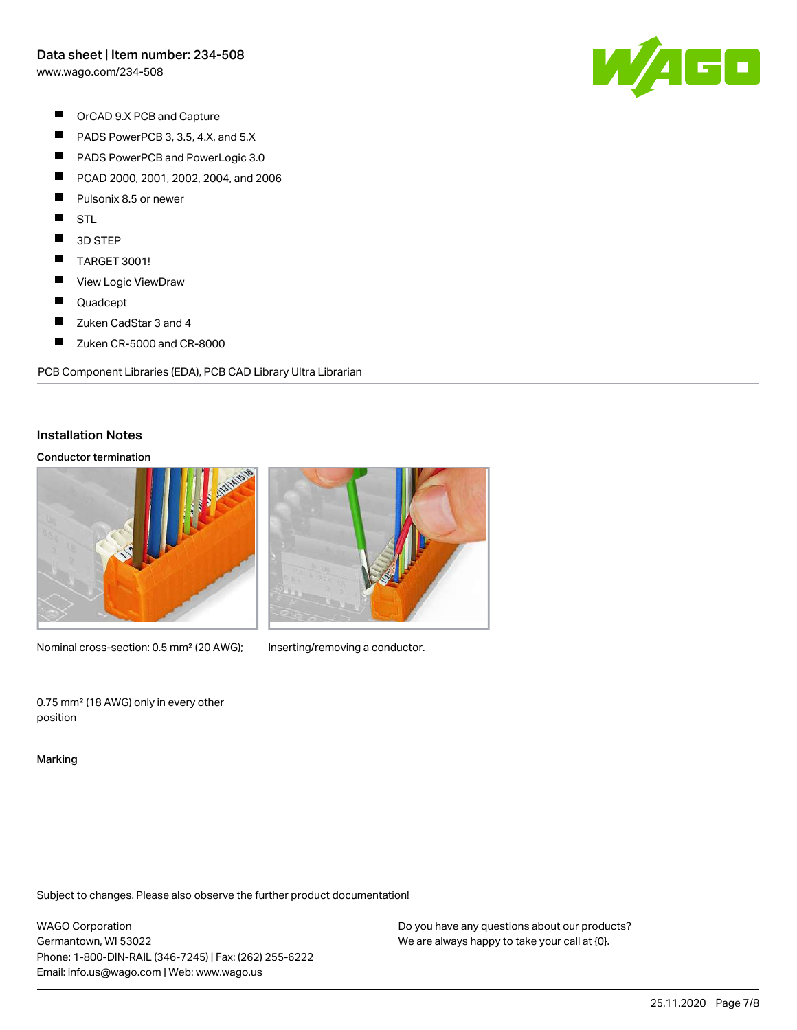[www.wago.com/234-508](http://www.wago.com/234-508)

- $\blacksquare$ OrCAD 9.X PCB and Capture
- $\blacksquare$ PADS PowerPCB 3, 3.5, 4.X, and 5.X
- $\blacksquare$ PADS PowerPCB and PowerLogic 3.0
- $\blacksquare$ PCAD 2000, 2001, 2002, 2004, and 2006
- $\blacksquare$ Pulsonix 8.5 or newer
- $\blacksquare$ **STL**
- $\blacksquare$ 3D STEP
- $\blacksquare$ TARGET 3001!
- $\blacksquare$ View Logic ViewDraw
- $\blacksquare$ Quadcept
- $\blacksquare$ Zuken CadStar 3 and 4
- $\blacksquare$ Zuken CR-5000 and CR-8000

PCB Component Libraries (EDA), PCB CAD Library Ultra Librarian

### Installation Notes

#### Conductor termination



Nominal cross-section: 0.5 mm<sup>2</sup> (20 AWG); Inserting/removing a conductor.



0.75 mm² (18 AWG) only in every other position

Marking

Subject to changes. Please also observe the further product documentation!

WAGO Corporation Germantown, WI 53022 Phone: 1-800-DIN-RAIL (346-7245) | Fax: (262) 255-6222 Email: info.us@wago.com | Web: www.wago.us